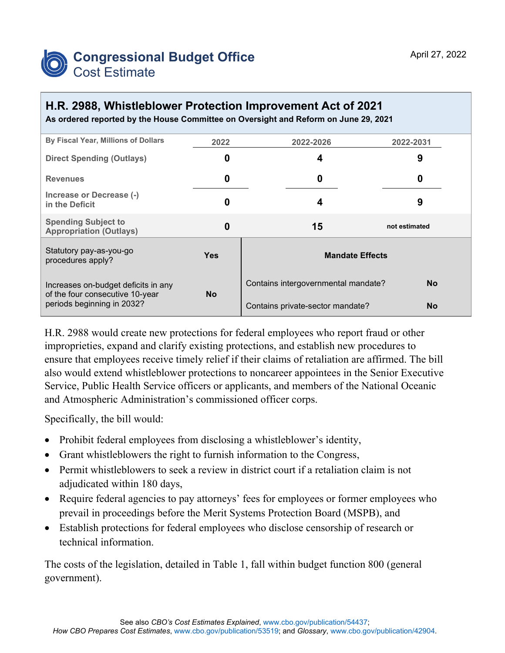

## **H.R. 2988, Whistleblower Protection Improvement Act of 2021**

**As ordered reported by the House Committee on Oversight and Reform on June 29, 2021**

| By Fiscal Year, Millions of Dollars                                                                  | 2022       | 2022-2026                           | 2022-2031     |  |  |
|------------------------------------------------------------------------------------------------------|------------|-------------------------------------|---------------|--|--|
| <b>Direct Spending (Outlays)</b>                                                                     | 0          | 4                                   | 9             |  |  |
| <b>Revenues</b>                                                                                      | 0          | 0                                   | 0             |  |  |
| Increase or Decrease (-)<br>in the Deficit                                                           | 0          | 4                                   | 9             |  |  |
| <b>Spending Subject to</b><br><b>Appropriation (Outlays)</b>                                         | 0          | 15                                  | not estimated |  |  |
| Statutory pay-as-you-go<br>procedures apply?                                                         | <b>Yes</b> | <b>Mandate Effects</b>              |               |  |  |
| Increases on-budget deficits in any<br>of the four consecutive 10-year<br>periods beginning in 2032? |            | Contains intergovernmental mandate? | <b>No</b>     |  |  |
|                                                                                                      | <b>No</b>  | Contains private-sector mandate?    | <b>No</b>     |  |  |

H.R. 2988 would create new protections for federal employees who report fraud or other improprieties, expand and clarify existing protections, and establish new procedures to ensure that employees receive timely relief if their claims of retaliation are affirmed. The bill also would extend whistleblower protections to noncareer appointees in the Senior Executive Service, Public Health Service officers or applicants, and members of the National Oceanic and Atmospheric Administration's commissioned officer corps.

Specifically, the bill would:

- Prohibit federal employees from disclosing a whistleblower's identity,
- Grant whistleblowers the right to furnish information to the Congress,
- Permit whistleblowers to seek a review in district court if a retaliation claim is not adjudicated within 180 days,
- Require federal agencies to pay attorneys' fees for employees or former employees who prevail in proceedings before the Merit Systems Protection Board (MSPB), and
- Establish protections for federal employees who disclose censorship of research or technical information.

The costs of the legislation, detailed in Table 1, fall within budget function 800 (general government).